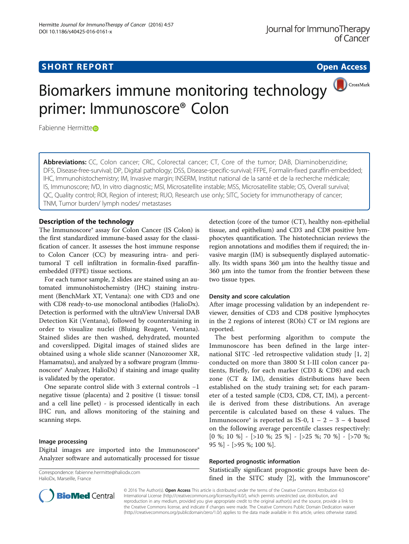# CrossMark Biomarkers immune monitoring technology primer: Immunoscore® Colon

Fabienne Hermitte<sup>®</sup>

Abbreviations: CC, Colon cancer; CRC, Colorectal cancer; CT, Core of the tumor; DAB, Diaminobenzidine; DFS, Disease-free-survival; DP, Digital pathology; DSS, Disease-specific-survival; FFPE, Formalin-fixed paraffin-embedded; IHC, Immunohistochemistry; IM, Invasive margin; INSERM, Institut national de la santé et de la recherche médicale; IS, Immunoscore; IVD, In vitro diagnostic; MSI, Microsatellite instable; MSS, Microsatellite stable; OS, Overall survival; QC, Quality control; ROI, Region of interest; RUO, Research use only; SITC, Society for immunotherapy of cancer; TNM, Tumor burden/ lymph nodes/ metastases

# Description of the technology

The Immunoscore® assay for Colon Cancer (IS Colon) is the first standardized immune-based assay for the classification of cancer. It assesses the host immune response to Colon Cancer (CC) by measuring intra- and peritumoral T cell infiltration in formalin-fixed paraffinembedded (FFPE) tissue sections.

For each tumor sample, 2 slides are stained using an automated immunohistochemistry (IHC) staining instrument (BenchMark XT, Ventana): one with CD3 and one with CD8 ready-to-use monoclonal antibodies (HalioDx). Detection is performed with the ultraView Universal DAB Detection Kit (Ventana), followed by counterstaining in order to visualize nuclei (Bluing Reagent, Ventana). Stained slides are then washed, dehydrated, mounted and coverslipped. Digital images of stained slides are obtained using a whole slide scanner (Nanozoomer XR, Hamamatsu), and analyzed by a software program (Immunoscore® Analyzer, HalioDx) if staining and image quality is validated by the operator.

One separate control slide with 3 external controls −1 negative tissue (placenta) and 2 positive (1 tissue: tonsil and a cell line pellet) - is processed identically in each IHC run, and allows monitoring of the staining and scanning steps.

# Image processing

Digital images are imported into the Immunoscore® Analyzer software and automatically processed for tissue

Correspondence: [fabienne.hermitte@haliodx.com](mailto:fabienne.hermitte@haliodx.com) HalioDx, Marseille, France

detection (core of the tumor (CT), healthy non-epithelial tissue, and epithelium) and CD3 and CD8 positive lymphocytes quantification. The histotechnician reviews the region annotations and modifies them if required; the invasive margin (IM) is subsequently displayed automatically. Its width spans 360 μm into the healthy tissue and 360 μm into the tumor from the frontier between these two tissue types.

# Density and score calculation

After image processing validation by an independent reviewer, densities of CD3 and CD8 positive lymphocytes in the 2 regions of interest (ROIs) CT or IM regions are reported.

The best performing algorithm to compute the Immunoscore has been defined in the large international SITC -led retrospective validation study [\[1](#page-2-0), [2](#page-2-0)] conducted on more than 3800 St I-III colon cancer patients, Briefly, for each marker (CD3 & CD8) and each zone (CT & IM), densities distributions have been established on the study training set; for each parameter of a tested sample (CD3, CD8, CT, IM), a percentile is derived from these distributions. An average percentile is calculated based on these 4 values. The Immunoscore® is reported as IS-0,  $1 - 2 - 3 - 4$  based on the following average percentile classes respectively:  $[0, 96; 10, 96]$  -  $[5, 10, 96; 25, 96]$  -  $[5, 25, 96; 70, 96]$  -  $[5, 70, 96;$ 95 %] - [>95 %; 100 %].

## Reported prognostic information

Statistically significant prognostic groups have been defined in the SITC study  $[2]$  $[2]$ , with the Immunoscore®



© 2016 The Author(s). Open Access This article is distributed under the terms of the Creative Commons Attribution 4.0 International License [\(http://creativecommons.org/licenses/by/4.0/](http://creativecommons.org/licenses/by/4.0/)), which permits unrestricted use, distribution, and reproduction in any medium, provided you give appropriate credit to the original author(s) and the source, provide a link to the Creative Commons license, and indicate if changes were made. The Creative Commons Public Domain Dedication waiver [\(http://creativecommons.org/publicdomain/zero/1.0/](http://creativecommons.org/publicdomain/zero/1.0/)) applies to the data made available in this article, unless otherwise stated.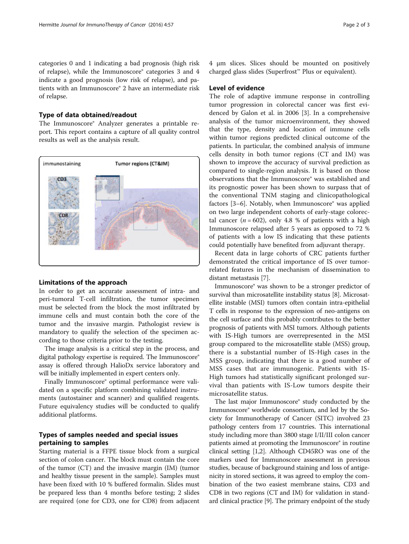categories 0 and 1 indicating a bad prognosis (high risk of relapse), while the Immunoscore® categories 3 and 4 indicate a good prognosis (low risk of relapse), and patients with an Immunoscore® 2 have an intermediate risk of relapse.

## Type of data obtained/readout

The Immunoscore® Analyzer generates a printable report. This report contains a capture of all quality control results as well as the analysis result.



#### Limitations of the approach

In order to get an accurate assessment of intra- and peri-tumoral T-cell infiltration, the tumor specimen must be selected from the block the most infiltrated by immune cells and must contain both the core of the tumor and the invasive margin. Pathologist review is mandatory to qualify the selection of the specimen according to those criteria prior to the testing.

The image analysis is a critical step in the process, and digital pathology expertise is required. The Immunoscore® assay is offered through HalioDx service laboratory and will be initially implemented in expert centers only.

Finally Immunoscore® optimal performance were validated on a specific platform combining validated instruments (autostainer and scanner) and qualified reagents. Future equivalency studies will be conducted to qualify additional platforms.

# Types of samples needed and special issues pertaining to samples

Starting material is a FFPE tissue block from a surgical section of colon cancer. The block must contain the core of the tumor (CT) and the invasive margin (IM) (tumor and healthy tissue present in the sample). Samples must have been fixed with 10 % buffered formalin. Slides must be prepared less than 4 months before testing; 2 slides are required (one for CD3, one for CD8) from adjacent 4 μm slices. Slices should be mounted on positively charged glass slides (Superfrost™ Plus or equivalent).

## Level of evidence

The role of adaptive immune response in controlling tumor progression in colorectal cancer was first evidenced by Galon et al. in 2006 [\[3](#page-2-0)]. In a comprehensive analysis of the tumor microenvironment, they showed that the type, density and location of immune cells within tumor regions predicted clinical outcome of the patients. In particular, the combined analysis of immune cells density in both tumor regions (CT and IM) was shown to improve the accuracy of survival prediction as compared to single-region analysis. It is based on those observations that the Immunoscore® was established and its prognostic power has been shown to surpass that of the conventional TNM staging and clinicopathological factors [[3](#page-2-0)–[6\]](#page-2-0). Notably, when Immunoscore® was applied on two large independent cohorts of early-stage colorectal cancer ( $n = 602$ ), only 4.8 % of patients with a high Immunoscore relapsed after 5 years as opposed to 72 % of patients with a low IS indicating that these patients could potentially have benefited from adjuvant therapy.

Recent data in large cohorts of CRC patients further demonstrated the critical importance of IS over tumorrelated features in the mechanism of dissemination to distant metastasis [\[7](#page-2-0)].

Immunoscore® was shown to be a stronger predictor of survival than microsatellite instability status [[8\]](#page-2-0). Microsatellite instable (MSI) tumors often contain intra-epithelial T cells in response to the expression of neo-antigens on the cell surface and this probably contributes to the better prognosis of patients with MSI tumors. Although patients with IS-High tumors are overrepresented in the MSI group compared to the microsatellite stable (MSS) group, there is a substantial number of IS-High cases in the MSS group, indicating that there is a good number of MSS cases that are immunogenic. Patients with IS-High tumors had statistically significant prolonged survival than patients with IS-Low tumors despite their microsatellite status.

The last major Immunoscore® study conducted by the Immunoscore® worldwide consortium, and led by the Society for Immunotherapy of Cancer (SITC) involved 23 pathology centers from 17 countries. This international study including more than 3800 stage I/II/III colon cancer patients aimed at promoting the Immunoscore® in routine clinical setting [\[1,2\]](#page-2-0). Although CD45RO was one of the markers used for Immunoscore assessment in previous studies, because of background staining and loss of antigenicity in stored sections, it was agreed to employ the combination of the two easiest membrane stains, CD3 and CD8 in two regions (CT and IM) for validation in standard clinical practice [\[9](#page-2-0)]. The primary endpoint of the study